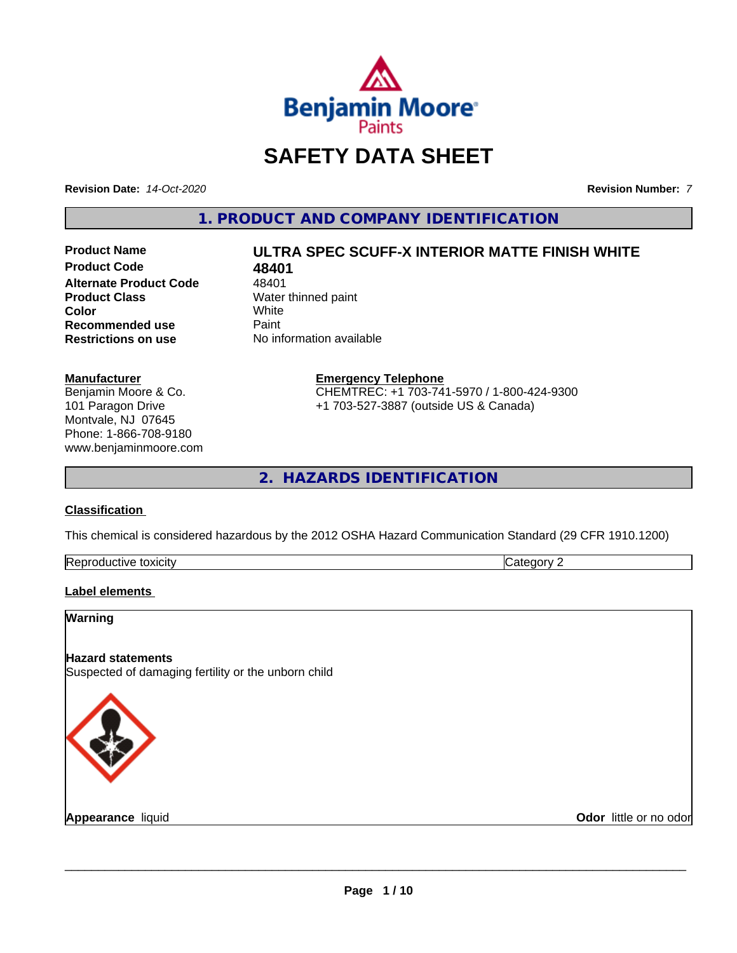

### **SAFETY DATA SHEET**

**Revision Date:** *14-Oct-2020* **Revision Number:** *7*

**1. PRODUCT AND COMPANY IDENTIFICATION**

**Product Code 48401**<br>**Alternate Product Code** 48401 **Alternate Product Code**<br>Product Class **Color** White White **Recommended use** Paint<br> **Restrictions on use** No inf

## **Product Name ULTRA SPEC SCUFF-X INTERIOR MATTE FINISH WHITE**

**Water thinned paint**<br>White **No information available** 

**Manufacturer** Benjamin Moore & Co. 101 Paragon Drive Montvale, NJ 07645 Phone: 1-866-708-9180

www.benjaminmoore.com

#### **Emergency Telephone** CHEMTREC: +1 703-741-5970 / 1-800-424-9300

+1 703-527-3887 (outside US & Canada)

**2. HAZARDS IDENTIFICATION**

#### **Classification**

This chemical is considered hazardous by the 2012 OSHA Hazard Communication Standard (29 CFR 1910.1200)

| $\sim$<br>toxicity<br><b>IRADI</b><br>evit≏<br>oauct. | $\sim$<br>$-$<br>. . |
|-------------------------------------------------------|----------------------|

#### **Label elements**

# **Warning Hazard statements** Suspected of damaging fertility or the unborn child

**Appearance** liquid

**Odor** little or no odor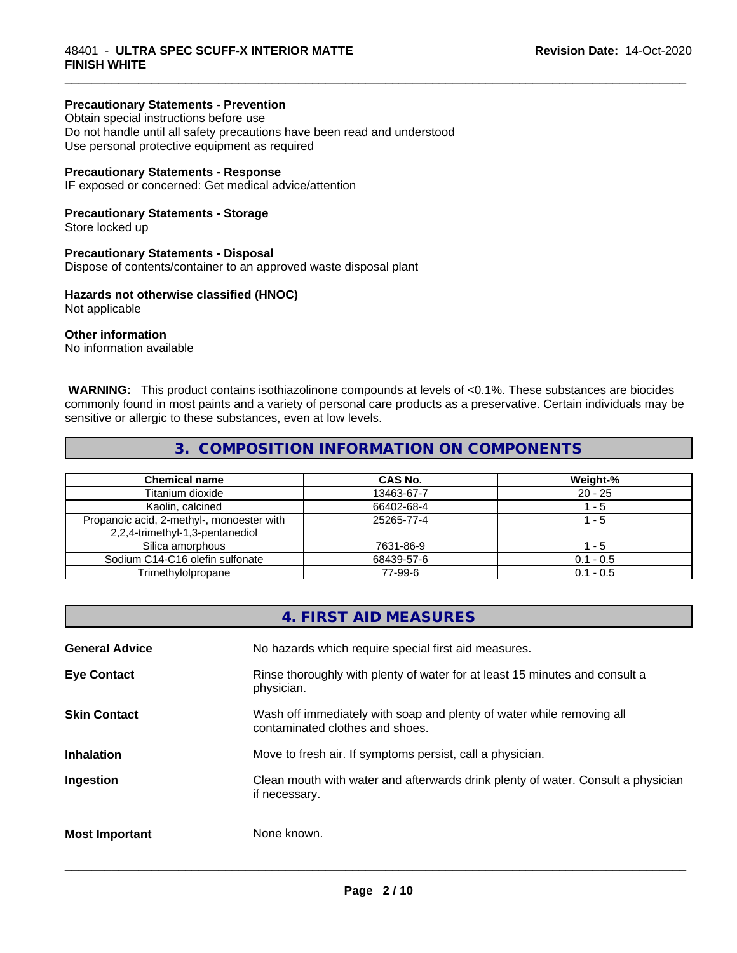#### **Precautionary Statements - Prevention**

Obtain special instructions before use Do not handle until all safety precautions have been read and understood Use personal protective equipment as required

#### **Precautionary Statements - Response**

IF exposed or concerned: Get medical advice/attention

#### **Precautionary Statements - Storage**

Store locked up

#### **Precautionary Statements - Disposal**

Dispose of contents/container to an approved waste disposal plant

#### **Hazards not otherwise classified (HNOC)**

Not applicable

#### **Other information**

No information available

 **WARNING:** This product contains isothiazolinone compounds at levels of <0.1%. These substances are biocides commonly found in most paints and a variety of personal care products as a preservative. Certain individuals may be sensitive or allergic to these substances, even at low levels.

\_\_\_\_\_\_\_\_\_\_\_\_\_\_\_\_\_\_\_\_\_\_\_\_\_\_\_\_\_\_\_\_\_\_\_\_\_\_\_\_\_\_\_\_\_\_\_\_\_\_\_\_\_\_\_\_\_\_\_\_\_\_\_\_\_\_\_\_\_\_\_\_\_\_\_\_\_\_\_\_\_\_\_\_\_\_\_\_\_\_\_\_\_

#### **3. COMPOSITION INFORMATION ON COMPONENTS**

| <b>Chemical name</b>                      | CAS No.    | Weight-%    |
|-------------------------------------------|------------|-------------|
| Titanium dioxide                          | 13463-67-7 | $20 - 25$   |
| Kaolin, calcined                          | 66402-68-4 | - 5         |
| Propanoic acid, 2-methyl-, monoester with | 25265-77-4 | 1 - 5       |
| 2,2,4-trimethyl-1,3-pentanediol           |            |             |
| Silica amorphous                          | 7631-86-9  | - 5         |
| Sodium C14-C16 olefin sulfonate           | 68439-57-6 | $0.1 - 0.5$ |
| Trimethylolpropane                        | 77-99-6    | $0.1 - 0.5$ |

|                       | 4. FIRST AID MEASURES                                                                                    |
|-----------------------|----------------------------------------------------------------------------------------------------------|
| <b>General Advice</b> | No hazards which require special first aid measures.                                                     |
| <b>Eye Contact</b>    | Rinse thoroughly with plenty of water for at least 15 minutes and consult a<br>physician.                |
| <b>Skin Contact</b>   | Wash off immediately with soap and plenty of water while removing all<br>contaminated clothes and shoes. |
| <b>Inhalation</b>     | Move to fresh air. If symptoms persist, call a physician.                                                |
| Ingestion             | Clean mouth with water and afterwards drink plenty of water. Consult a physician<br>if necessary.        |
| <b>Most Important</b> | None known.                                                                                              |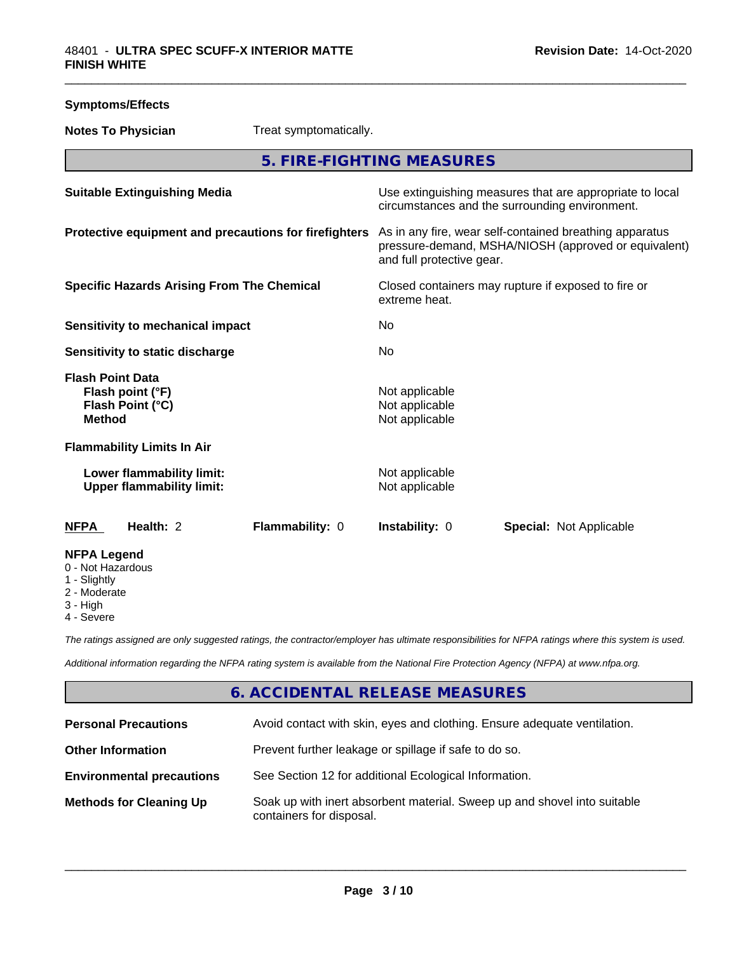| <b>Symptoms/Effects</b>                                                          |                        |                                                    |                                                                                                                 |  |
|----------------------------------------------------------------------------------|------------------------|----------------------------------------------------|-----------------------------------------------------------------------------------------------------------------|--|
| <b>Notes To Physician</b>                                                        | Treat symptomatically. |                                                    |                                                                                                                 |  |
|                                                                                  |                        | 5. FIRE-FIGHTING MEASURES                          |                                                                                                                 |  |
| <b>Suitable Extinguishing Media</b>                                              |                        |                                                    | Use extinguishing measures that are appropriate to local<br>circumstances and the surrounding environment.      |  |
| Protective equipment and precautions for firefighters                            |                        | and full protective gear.                          | As in any fire, wear self-contained breathing apparatus<br>pressure-demand, MSHA/NIOSH (approved or equivalent) |  |
| <b>Specific Hazards Arising From The Chemical</b>                                |                        | extreme heat.                                      | Closed containers may rupture if exposed to fire or                                                             |  |
| <b>Sensitivity to mechanical impact</b>                                          |                        | No                                                 |                                                                                                                 |  |
| Sensitivity to static discharge                                                  |                        | No                                                 |                                                                                                                 |  |
| <b>Flash Point Data</b><br>Flash point (°F)<br>Flash Point (°C)<br><b>Method</b> |                        | Not applicable<br>Not applicable<br>Not applicable |                                                                                                                 |  |
| <b>Flammability Limits In Air</b>                                                |                        |                                                    |                                                                                                                 |  |
| Lower flammability limit:<br><b>Upper flammability limit:</b>                    |                        | Not applicable<br>Not applicable                   |                                                                                                                 |  |
| Health: 2<br><b>NFPA</b>                                                         | Flammability: 0        | Instability: 0                                     | <b>Special: Not Applicable</b>                                                                                  |  |
| <b>NFPA Legend</b><br>0 - Not Hazardous<br>1 - Slightly<br>2 - Moderate          |                        |                                                    |                                                                                                                 |  |

- 
- 3 High
- 4 Severe

*The ratings assigned are only suggested ratings, the contractor/employer has ultimate responsibilities for NFPA ratings where this system is used.*

*Additional information regarding the NFPA rating system is available from the National Fire Protection Agency (NFPA) at www.nfpa.org.*

#### **6. ACCIDENTAL RELEASE MEASURES**

| <b>Personal Precautions</b>      | Avoid contact with skin, eyes and clothing. Ensure adequate ventilation.                             |
|----------------------------------|------------------------------------------------------------------------------------------------------|
| <b>Other Information</b>         | Prevent further leakage or spillage if safe to do so.                                                |
| <b>Environmental precautions</b> | See Section 12 for additional Ecological Information.                                                |
| <b>Methods for Cleaning Up</b>   | Soak up with inert absorbent material. Sweep up and shovel into suitable<br>containers for disposal. |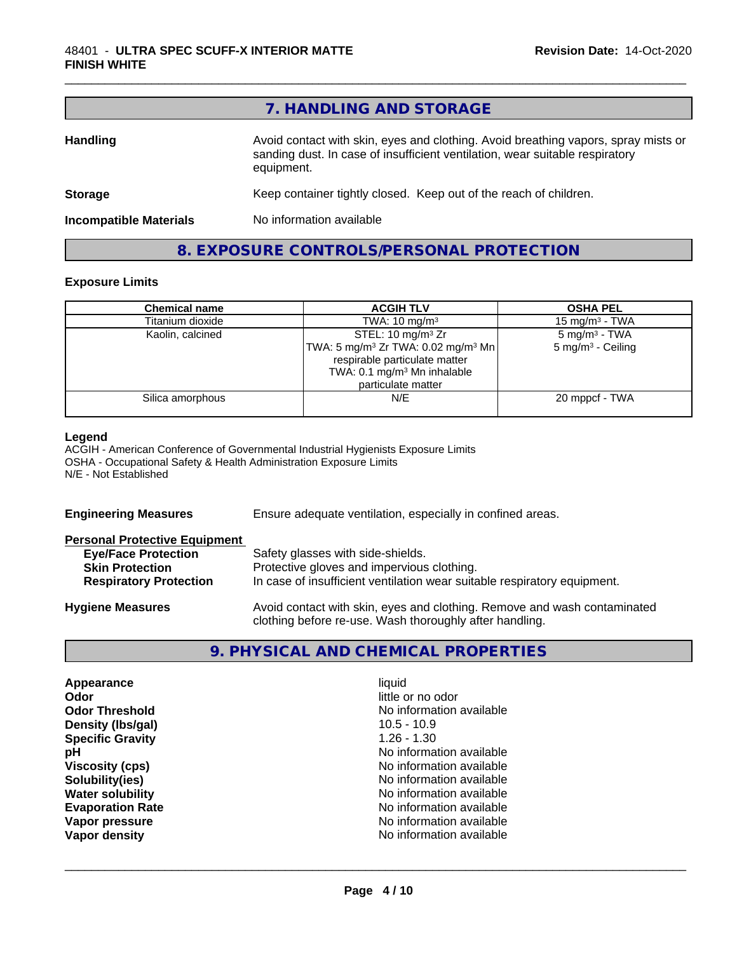#### **7. HANDLING AND STORAGE**

| <b>Handling</b>               | Avoid contact with skin, eyes and clothing. Avoid breathing vapors, spray mists or<br>sanding dust. In case of insufficient ventilation, wear suitable respiratory<br>equipment. |
|-------------------------------|----------------------------------------------------------------------------------------------------------------------------------------------------------------------------------|
| <b>Storage</b>                | Keep container tightly closed. Keep out of the reach of children.                                                                                                                |
| <b>Incompatible Materials</b> | No information available                                                                                                                                                         |
|                               |                                                                                                                                                                                  |

#### **8. EXPOSURE CONTROLS/PERSONAL PROTECTION**

#### **Exposure Limits**

| <b>Chemical name</b> | <b>ACGIH TLV</b>                                           | <b>OSHA PEL</b>               |
|----------------------|------------------------------------------------------------|-------------------------------|
| Titanium dioxide     | TWA: $10 \text{ mg/m}^3$                                   | $15 \text{ mg/m}^3$ - TWA     |
| Kaolin, calcined     | STEL: 10 mg/m <sup>3</sup> Zr                              | $5 \text{ mg/m}^3$ - TWA      |
|                      | TWA: 5 mg/m <sup>3</sup> Zr TWA: 0.02 mg/m <sup>3</sup> Mn | 5 mg/m <sup>3</sup> - Ceiling |
|                      | respirable particulate matter                              |                               |
|                      | TWA: $0.1 \text{ mg/m}^3$ Mn inhalable                     |                               |
|                      | particulate matter                                         |                               |
| Silica amorphous     | N/E                                                        | 20 mppcf - TWA                |
|                      |                                                            |                               |

#### **Legend**

ACGIH - American Conference of Governmental Industrial Hygienists Exposure Limits OSHA - Occupational Safety & Health Administration Exposure Limits N/E - Not Established

| Ensure adequate ventilation, especially in confined areas.                                                                          |  |  |
|-------------------------------------------------------------------------------------------------------------------------------------|--|--|
|                                                                                                                                     |  |  |
| Safety glasses with side-shields.                                                                                                   |  |  |
| Protective gloves and impervious clothing.                                                                                          |  |  |
| In case of insufficient ventilation wear suitable respiratory equipment.                                                            |  |  |
| Avoid contact with skin, eyes and clothing. Remove and wash contaminated<br>clothing before re-use. Wash thoroughly after handling. |  |  |
|                                                                                                                                     |  |  |

#### **9. PHYSICAL AND CHEMICAL PROPERTIES**

| Appearance              | liquid                   |
|-------------------------|--------------------------|
| Odor                    | little or no odor        |
|                         |                          |
| <b>Odor Threshold</b>   | No information available |
| Density (Ibs/gal)       | $10.5 - 10.9$            |
| <b>Specific Gravity</b> | $1.26 - 1.30$            |
| рH                      | No information available |
| <b>Viscosity (cps)</b>  | No information available |
| Solubility(ies)         | No information available |
| <b>Water solubility</b> | No information available |
| <b>Evaporation Rate</b> | No information available |
| Vapor pressure          | No information available |
| Vapor density           | No information available |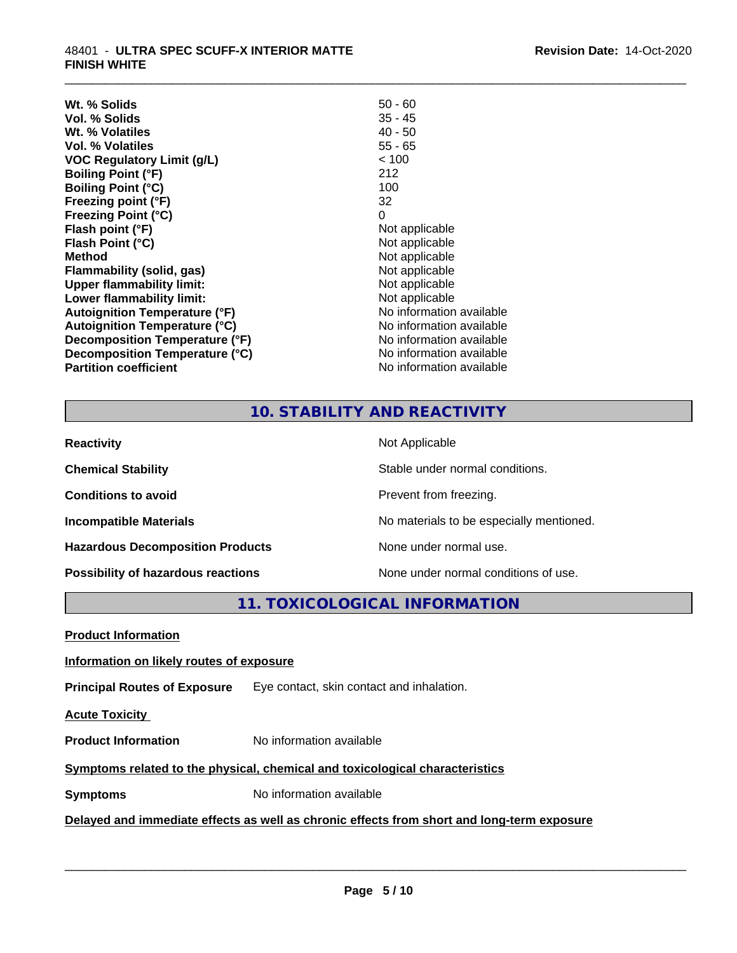| $50 - 60$                |
|--------------------------|
| 35 - 45                  |
| $40 - 50$                |
| $55 - 65$                |
| < 100                    |
| 212                      |
| 100                      |
| 32                       |
| 0                        |
| Not applicable           |
| Not applicable           |
| Not applicable           |
| Not applicable           |
| Not applicable           |
| Not applicable           |
| No information available |
| No information available |
| No information available |
| No information available |
| No information available |
|                          |

#### **10. STABILITY AND REACTIVITY**

\_\_\_\_\_\_\_\_\_\_\_\_\_\_\_\_\_\_\_\_\_\_\_\_\_\_\_\_\_\_\_\_\_\_\_\_\_\_\_\_\_\_\_\_\_\_\_\_\_\_\_\_\_\_\_\_\_\_\_\_\_\_\_\_\_\_\_\_\_\_\_\_\_\_\_\_\_\_\_\_\_\_\_\_\_\_\_\_\_\_\_\_\_

| <b>Reactivity</b>                       | Not Applicable                           |
|-----------------------------------------|------------------------------------------|
| <b>Chemical Stability</b>               | Stable under normal conditions.          |
| <b>Conditions to avoid</b>              | Prevent from freezing.                   |
| <b>Incompatible Materials</b>           | No materials to be especially mentioned. |
| <b>Hazardous Decomposition Products</b> | None under normal use.                   |
| Possibility of hazardous reactions      | None under normal conditions of use.     |

**11. TOXICOLOGICAL INFORMATION**

**Product Information**

#### **Information on likely routes of exposure**

**Principal Routes of Exposure** Eye contact, skin contact and inhalation.

**Acute Toxicity** 

**Product Information** No information available

#### **Symptoms** related to the physical, chemical and toxicological characteristics

**Symptoms** No information available

#### **Delayed and immediate effects as well as chronic effects from short and long-term exposure**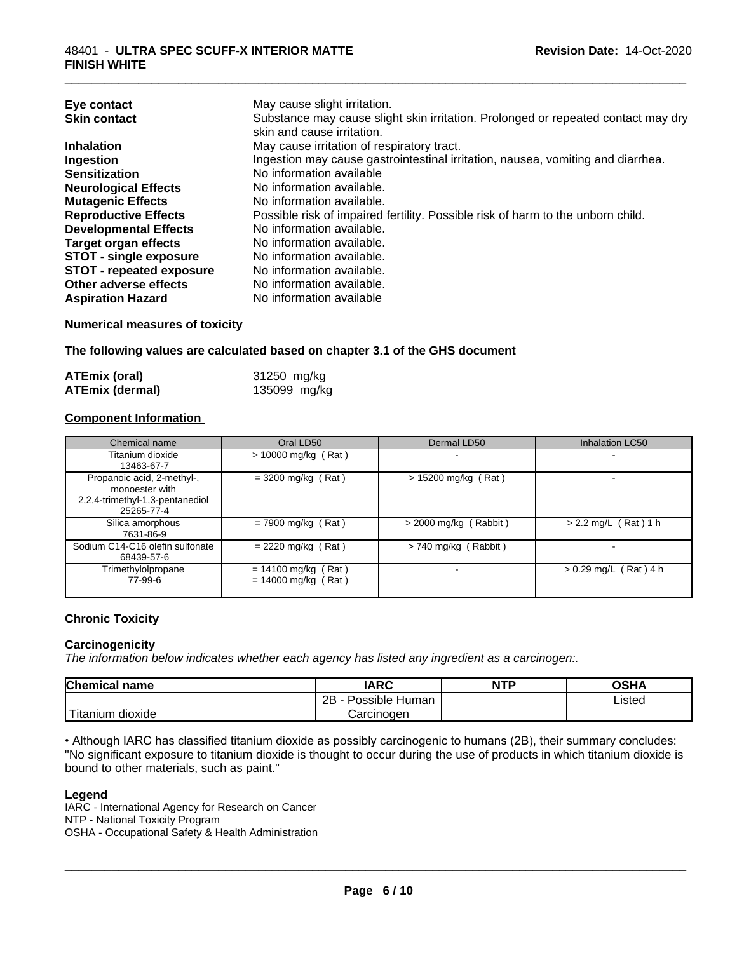| Eye contact                     | May cause slight irritation.                                                      |
|---------------------------------|-----------------------------------------------------------------------------------|
| <b>Skin contact</b>             | Substance may cause slight skin irritation. Prolonged or repeated contact may dry |
|                                 | skin and cause irritation.                                                        |
| <b>Inhalation</b>               | May cause irritation of respiratory tract.                                        |
| Ingestion                       | Ingestion may cause gastrointestinal irritation, nausea, vomiting and diarrhea.   |
| <b>Sensitization</b>            | No information available                                                          |
| <b>Neurological Effects</b>     | No information available.                                                         |
| <b>Mutagenic Effects</b>        | No information available.                                                         |
| <b>Reproductive Effects</b>     | Possible risk of impaired fertility. Possible risk of harm to the unborn child.   |
| <b>Developmental Effects</b>    | No information available.                                                         |
| <b>Target organ effects</b>     | No information available.                                                         |
| <b>STOT - single exposure</b>   | No information available.                                                         |
| <b>STOT - repeated exposure</b> | No information available.                                                         |
| Other adverse effects           | No information available.                                                         |
| <b>Aspiration Hazard</b>        | No information available                                                          |

#### **Numerical measures of toxicity**

**The following values are calculated based on chapter 3.1 of the GHS document**

| <b>ATEmix (oral)</b>   | 31250 mg/kg  |
|------------------------|--------------|
| <b>ATEmix (dermal)</b> | 135099 mg/kg |

#### **Component Information**

| Chemical name                                                                                 | Oral LD50                                      | Dermal LD50             | Inhalation LC50          |
|-----------------------------------------------------------------------------------------------|------------------------------------------------|-------------------------|--------------------------|
| Titanium dioxide<br>13463-67-7                                                                | $> 10000$ mg/kg (Rat)                          |                         |                          |
| Propanoic acid, 2-methyl-,<br>monoester with<br>2,2,4-trimethyl-1,3-pentanediol<br>25265-77-4 | $= 3200$ mg/kg (Rat)                           | $> 15200$ mg/kg (Rat)   |                          |
| Silica amorphous<br>7631-86-9                                                                 | $= 7900$ mg/kg (Rat)                           | $>$ 2000 mg/kg (Rabbit) | $> 2.2$ mg/L (Rat) 1 h   |
| Sodium C14-C16 olefin sulfonate<br>68439-57-6                                                 | $= 2220$ mg/kg (Rat)                           | > 740 mg/kg (Rabbit)    | $\overline{\phantom{0}}$ |
| Trimethylolpropane<br>77-99-6                                                                 | $= 14100$ mg/kg (Rat)<br>$= 14000$ mg/kg (Rat) |                         | $> 0.29$ mg/L (Rat) 4 h  |

#### **Chronic Toxicity**

#### **Carcinogenicity**

*The information below indicateswhether each agency has listed any ingredient as a carcinogen:.*

| <b>Chemical name</b>          | <b>IARC</b>                 | <b>NTP</b> | <b>OSHA</b> |
|-------------------------------|-----------------------------|------------|-------------|
|                               | . .<br>2B<br>Possible Human |            | Listed      |
| . .<br>dioxide ו<br>l itanıum | Carcinogen                  |            |             |

• Although IARC has classified titanium dioxide as possibly carcinogenic to humans (2B), their summary concludes: "No significant exposure to titanium dioxide is thought to occur during the use of products in which titanium dioxide is bound to other materials, such as paint."

#### **Legend**

IARC - International Agency for Research on Cancer NTP - National Toxicity Program OSHA - Occupational Safety & Health Administration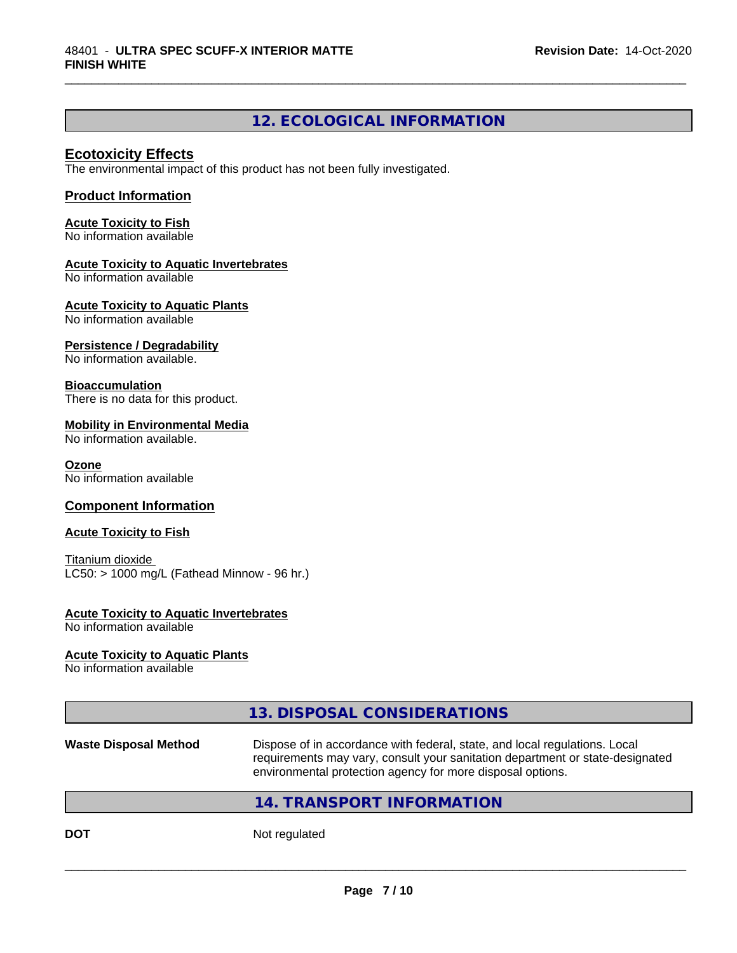#### **12. ECOLOGICAL INFORMATION**

\_\_\_\_\_\_\_\_\_\_\_\_\_\_\_\_\_\_\_\_\_\_\_\_\_\_\_\_\_\_\_\_\_\_\_\_\_\_\_\_\_\_\_\_\_\_\_\_\_\_\_\_\_\_\_\_\_\_\_\_\_\_\_\_\_\_\_\_\_\_\_\_\_\_\_\_\_\_\_\_\_\_\_\_\_\_\_\_\_\_\_\_\_

#### **Ecotoxicity Effects**

The environmental impact of this product has not been fully investigated.

#### **Product Information**

**Acute Toxicity to Fish** No information available

#### **Acute Toxicity to Aquatic Invertebrates**

No information available

**Acute Toxicity to Aquatic Plants**

No information available

#### **Persistence / Degradability**

No information available.

#### **Bioaccumulation**

There is no data for this product.

#### **Mobility in Environmental Media**

No information available.

#### **Ozone**

No information available

#### **Component Information**

#### **Acute Toxicity to Fish**

Titanium dioxide  $LC50:$  > 1000 mg/L (Fathead Minnow - 96 hr.)

#### **Acute Toxicity to Aquatic Invertebrates**

No information available

#### **Acute Toxicity to Aquatic Plants**

No information available

#### **13. DISPOSAL CONSIDERATIONS**

**Waste Disposal Method** Dispose of in accordance with federal, state, and local regulations. Local requirements may vary, consult your sanitation department or state-designated environmental protection agency for more disposal options.

 $\overline{\phantom{a}}$  ,  $\overline{\phantom{a}}$  ,  $\overline{\phantom{a}}$  ,  $\overline{\phantom{a}}$  ,  $\overline{\phantom{a}}$  ,  $\overline{\phantom{a}}$  ,  $\overline{\phantom{a}}$  ,  $\overline{\phantom{a}}$  ,  $\overline{\phantom{a}}$  ,  $\overline{\phantom{a}}$  ,  $\overline{\phantom{a}}$  ,  $\overline{\phantom{a}}$  ,  $\overline{\phantom{a}}$  ,  $\overline{\phantom{a}}$  ,  $\overline{\phantom{a}}$  ,  $\overline{\phantom{a}}$ 

#### **14. TRANSPORT INFORMATION**

**DOT** Not regulated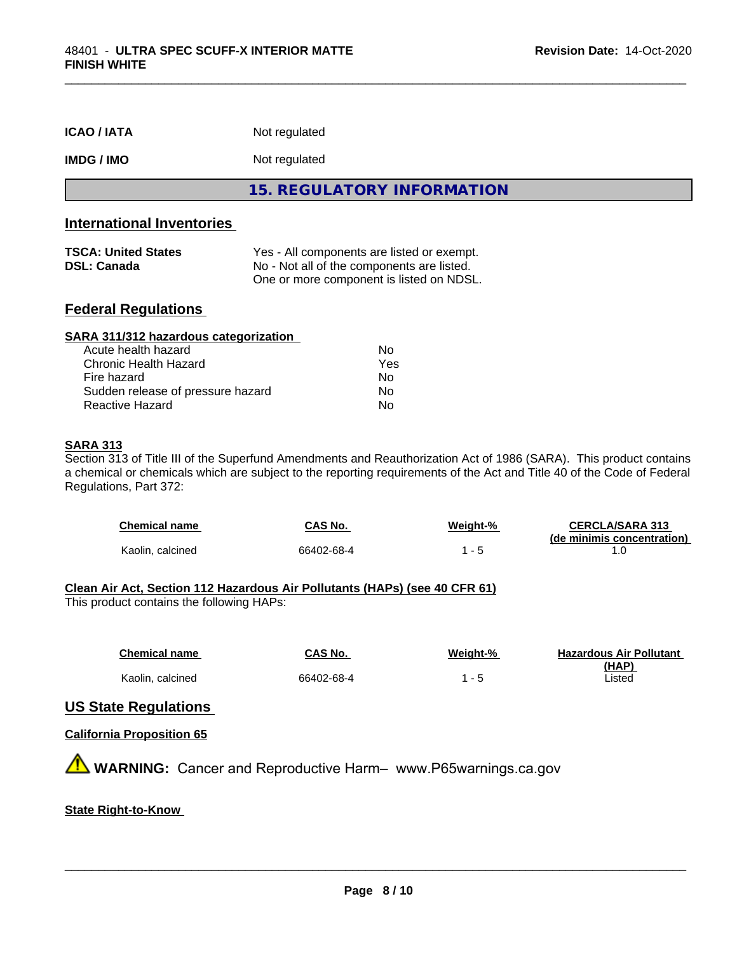|                    | 15. REGULATORY INFORMATION |
|--------------------|----------------------------|
| IMDG / IMO         | Not regulated              |
| <b>ICAO / IATA</b> | Not regulated              |

#### **International Inventories**

| <b>TSCA: United States</b> | Yes - All components are listed or exempt. |
|----------------------------|--------------------------------------------|
| <b>DSL: Canada</b>         | No - Not all of the components are listed. |
|                            | One or more component is listed on NDSL.   |

#### **Federal Regulations**

| SARA 311/312 hazardous categorization |     |  |
|---------------------------------------|-----|--|
| Acute health hazard                   | Nο  |  |
| Chronic Health Hazard                 | Yes |  |
| Fire hazard                           | Nο  |  |
| Sudden release of pressure hazard     | Nο  |  |
| Reactive Hazard                       | No  |  |

#### **SARA 313**

Section 313 of Title III of the Superfund Amendments and Reauthorization Act of 1986 (SARA). This product contains a chemical or chemicals which are subject to the reporting requirements of the Act and Title 40 of the Code of Federal Regulations, Part 372:

| <b>Chemical name</b> | CAS No.    | Weiaht-% | <b>CERCLA/SARA 313</b>     |
|----------------------|------------|----------|----------------------------|
|                      |            |          | (de minimis concentration) |
| Kaolin, calcined     | 66402-68-4 |          |                            |

#### **Clean Air Act,Section 112 Hazardous Air Pollutants (HAPs) (see 40 CFR 61)**

This product contains the following HAPs:

| <b>Chemical name</b> | CAS No.    | Weight-%                 | <b>Hazardous Air Pollutant</b> |
|----------------------|------------|--------------------------|--------------------------------|
|                      |            |                          | (HAP)                          |
| Kaolin, calcined     | 66402-68-4 | $\overline{\phantom{0}}$ | .isted                         |

#### **US State Regulations**

#### **California Proposition 65**

**A WARNING:** Cancer and Reproductive Harm– www.P65warnings.ca.gov

#### **State Right-to-Know**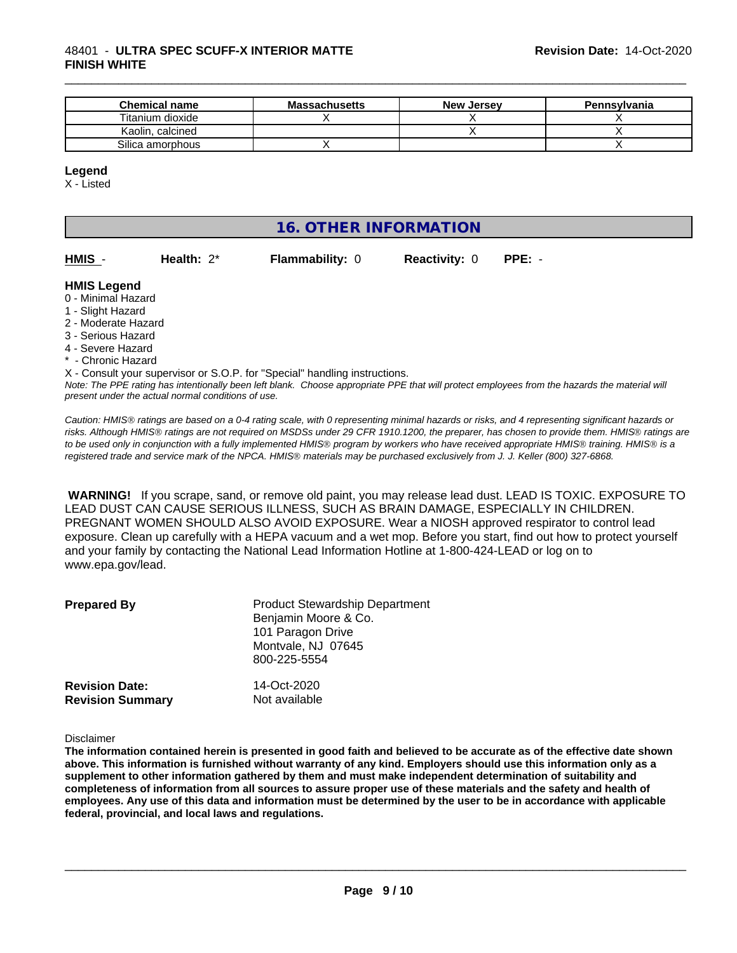#### 48401 - **ULTRA SPEC SCUFF-X INTERIOR MATTE FINISH WHITE**

| <b>Chemical name</b> | <b>Massachusetts</b> | <b>New Jersey</b> | Pennsylvania |
|----------------------|----------------------|-------------------|--------------|
| Titanium dioxide     |                      |                   |              |
| Kaolin, calcined     |                      |                   |              |
| Silica amorphous     |                      |                   |              |

#### **Legend**

X - Listed

#### **16. OTHER INFORMATION**

| HMIS - | Health: $2^*$ |  |
|--------|---------------|--|

**Flammability: 0 Reactivity: 0 PPE: -**

\_\_\_\_\_\_\_\_\_\_\_\_\_\_\_\_\_\_\_\_\_\_\_\_\_\_\_\_\_\_\_\_\_\_\_\_\_\_\_\_\_\_\_\_\_\_\_\_\_\_\_\_\_\_\_\_\_\_\_\_\_\_\_\_\_\_\_\_\_\_\_\_\_\_\_\_\_\_\_\_\_\_\_\_\_\_\_\_\_\_\_\_\_

#### **HMIS Legend**

- 0 Minimal Hazard
- 1 Slight Hazard
- 2 Moderate Hazard
- 3 Serious Hazard
- 4 Severe Hazard
- \* Chronic Hazard

*Note: The PPE rating has intentionally been left blank. Choose appropriate PPE that will protect employees from the hazards the material will* X - Consult your supervisor or S.O.P. for "Special" handling instructions.

*present under the actual normal conditions of use.*

*Caution: HMISÒ ratings are based on a 0-4 rating scale, with 0 representing minimal hazards or risks, and 4 representing significant hazards or risks. Although HMISÒ ratings are not required on MSDSs under 29 CFR 1910.1200, the preparer, has chosen to provide them. HMISÒ ratings are to be used only in conjunction with a fully implemented HMISÒ program by workers who have received appropriate HMISÒ training. HMISÒ is a registered trade and service mark of the NPCA. HMISÒ materials may be purchased exclusively from J. J. Keller (800) 327-6868.*

 **WARNING!** If you scrape, sand, or remove old paint, you may release lead dust. LEAD IS TOXIC. EXPOSURE TO LEAD DUST CAN CAUSE SERIOUS ILLNESS, SUCH AS BRAIN DAMAGE, ESPECIALLY IN CHILDREN. PREGNANT WOMEN SHOULD ALSO AVOID EXPOSURE. Wear a NIOSH approved respirator to control lead exposure. Clean up carefully with a HEPA vacuum and a wet mop. Before you start, find out how to protect yourself and your family by contacting the National Lead Information Hotline at 1-800-424-LEAD or log on to www.epa.gov/lead.

| <b>Prepared By</b>                               | <b>Product Stewardship Department</b><br>Benjamin Moore & Co.<br>101 Paragon Drive<br>Montvale, NJ 07645<br>800-225-5554 |  |
|--------------------------------------------------|--------------------------------------------------------------------------------------------------------------------------|--|
| <b>Revision Date:</b><br><b>Revision Summary</b> | 14-Oct-2020<br>Not available                                                                                             |  |

Disclaimer

The information contained herein is presented in good faith and believed to be accurate as of the effective date shown above. This information is furnished without warranty of any kind. Employers should use this information only as a **supplement to other information gathered by them and must make independent determination of suitability and** completeness of information from all sources to assure proper use of these materials and the safety and health of employees. Any use of this data and information must be determined by the user to be in accordance with applicable **federal, provincial, and local laws and regulations.**